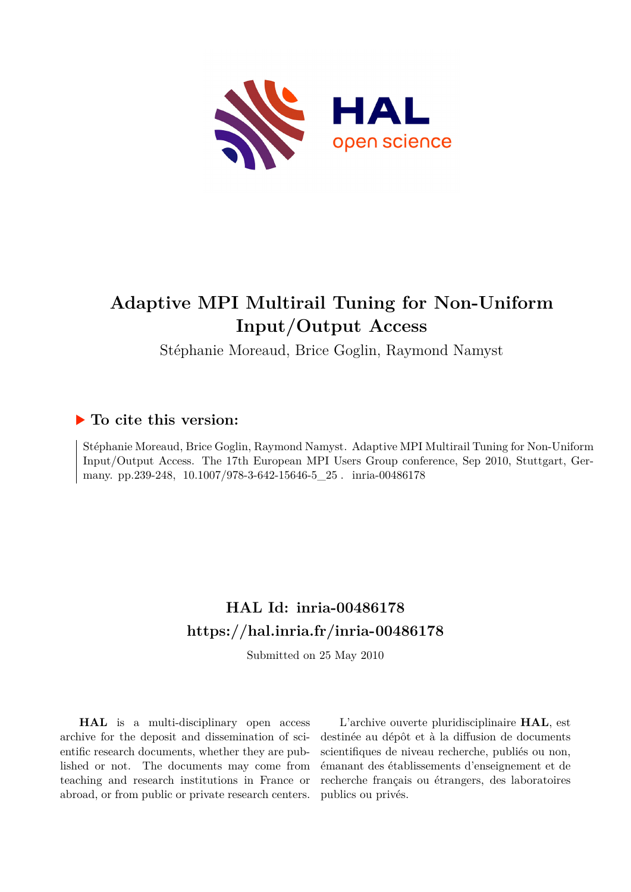

# **Adaptive MPI Multirail Tuning for Non-Uniform Input/Output Access**

Stéphanie Moreaud, Brice Goglin, Raymond Namyst

# **To cite this version:**

Stéphanie Moreaud, Brice Goglin, Raymond Namyst. Adaptive MPI Multirail Tuning for Non-Uniform Input/Output Access. The 17th European MPI Users Group conference, Sep 2010, Stuttgart, Germany. pp.239-248,  $10.1007/978-3-642-15646-5\_25$ . inria-00486178

# **HAL Id: inria-00486178 <https://hal.inria.fr/inria-00486178>**

Submitted on 25 May 2010

**HAL** is a multi-disciplinary open access archive for the deposit and dissemination of scientific research documents, whether they are published or not. The documents may come from teaching and research institutions in France or abroad, or from public or private research centers.

L'archive ouverte pluridisciplinaire **HAL**, est destinée au dépôt et à la diffusion de documents scientifiques de niveau recherche, publiés ou non, émanant des établissements d'enseignement et de recherche français ou étrangers, des laboratoires publics ou privés.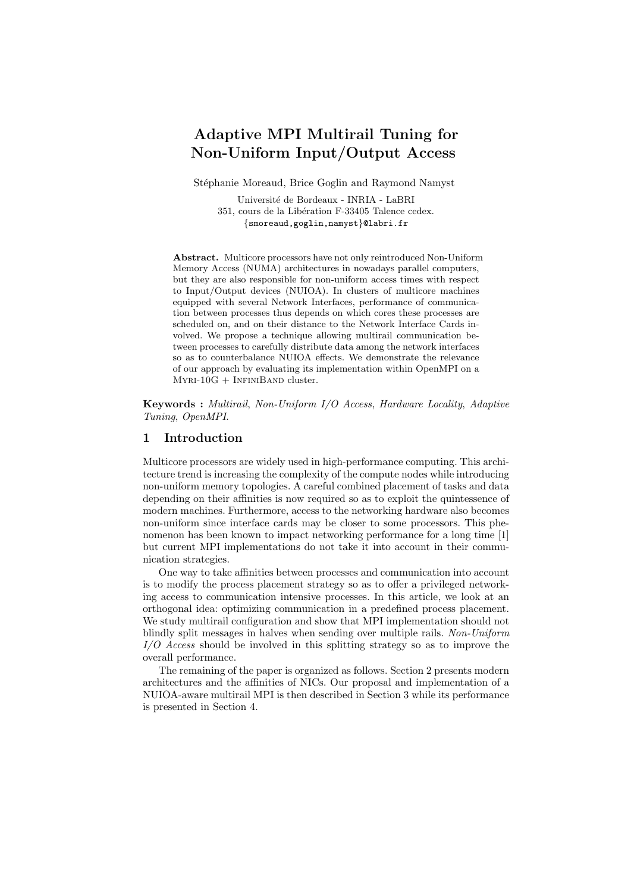# Adaptive MPI Multirail Tuning for Non-Uniform Input/Output Access

Stéphanie Moreaud, Brice Goglin and Raymond Namyst

Universit´e de Bordeaux - INRIA - LaBRI 351, cours de la Libération F-33405 Talence cedex. {smoreaud,goglin,namyst}@labri.fr

Abstract. Multicore processors have not only reintroduced Non-Uniform Memory Access (NUMA) architectures in nowadays parallel computers, but they are also responsible for non-uniform access times with respect to Input/Output devices (NUIOA). In clusters of multicore machines equipped with several Network Interfaces, performance of communication between processes thus depends on which cores these processes are scheduled on, and on their distance to the Network Interface Cards involved. We propose a technique allowing multirail communication between processes to carefully distribute data among the network interfaces so as to counterbalance NUIOA effects. We demonstrate the relevance of our approach by evaluating its implementation within OpenMPI on a  $MYRI-10G + INFINIBAND cluster.$ 

Keywords : Multirail, Non-Uniform I/O Access, Hardware Locality, Adaptive Tuning, OpenMPI.

### 1 Introduction

Multicore processors are widely used in high-performance computing. This architecture trend is increasing the complexity of the compute nodes while introducing non-uniform memory topologies. A careful combined placement of tasks and data depending on their affinities is now required so as to exploit the quintessence of modern machines. Furthermore, access to the networking hardware also becomes non-uniform since interface cards may be closer to some processors. This phenomenon has been known to impact networking performance for a long time [1] but current MPI implementations do not take it into account in their communication strategies.

One way to take affinities between processes and communication into account is to modify the process placement strategy so as to offer a privileged networking access to communication intensive processes. In this article, we look at an orthogonal idea: optimizing communication in a predefined process placement. We study multirail configuration and show that MPI implementation should not blindly split messages in halves when sending over multiple rails. Non-Uniform I/O Access should be involved in this splitting strategy so as to improve the overall performance.

The remaining of the paper is organized as follows. Section 2 presents modern architectures and the affinities of NICs. Our proposal and implementation of a NUIOA-aware multirail MPI is then described in Section 3 while its performance is presented in Section 4.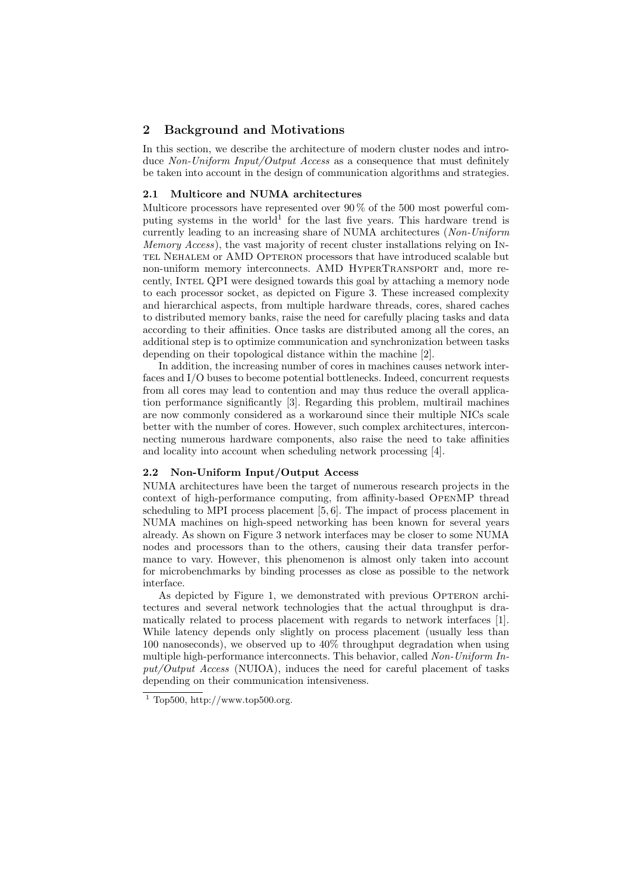## 2 Background and Motivations

In this section, we describe the architecture of modern cluster nodes and introduce Non-Uniform Input/Output Access as a consequence that must definitely be taken into account in the design of communication algorithms and strategies.

#### 2.1 Multicore and NUMA architectures

Multicore processors have represented over  $90\%$  of the 500 most powerful computing systems in the world<sup>1</sup> for the last five years. This hardware trend is currently leading to an increasing share of NUMA architectures (Non-Uniform Memory Access), the vast majority of recent cluster installations relying on IN-TEL NEHALEM or AMD OPTERON processors that have introduced scalable but non-uniform memory interconnects. AMD HyperTransport and, more recently, Intel QPI were designed towards this goal by attaching a memory node to each processor socket, as depicted on Figure 3. These increased complexity and hierarchical aspects, from multiple hardware threads, cores, shared caches to distributed memory banks, raise the need for carefully placing tasks and data according to their affinities. Once tasks are distributed among all the cores, an additional step is to optimize communication and synchronization between tasks depending on their topological distance within the machine [2].

In addition, the increasing number of cores in machines causes network interfaces and I/O buses to become potential bottlenecks. Indeed, concurrent requests from all cores may lead to contention and may thus reduce the overall application performance significantly [3]. Regarding this problem, multirail machines are now commonly considered as a workaround since their multiple NICs scale better with the number of cores. However, such complex architectures, interconnecting numerous hardware components, also raise the need to take affinities and locality into account when scheduling network processing [4].

#### 2.2 Non-Uniform Input/Output Access

NUMA architectures have been the target of numerous research projects in the context of high-performance computing, from affinity-based OpenMP thread scheduling to MPI process placement [5, 6]. The impact of process placement in NUMA machines on high-speed networking has been known for several years already. As shown on Figure 3 network interfaces may be closer to some NUMA nodes and processors than to the others, causing their data transfer performance to vary. However, this phenomenon is almost only taken into account for microbenchmarks by binding processes as close as possible to the network interface.

As depicted by Figure 1, we demonstrated with previous OPTERON architectures and several network technologies that the actual throughput is dramatically related to process placement with regards to network interfaces [1]. While latency depends only slightly on process placement (usually less than 100 nanoseconds), we observed up to 40% throughput degradation when using multiple high-performance interconnects. This behavior, called Non-Uniform In $put/Output$  Access (NUIOA), induces the need for careful placement of tasks depending on their communication intensiveness.

 $1$  Top500, http://www.top500.org.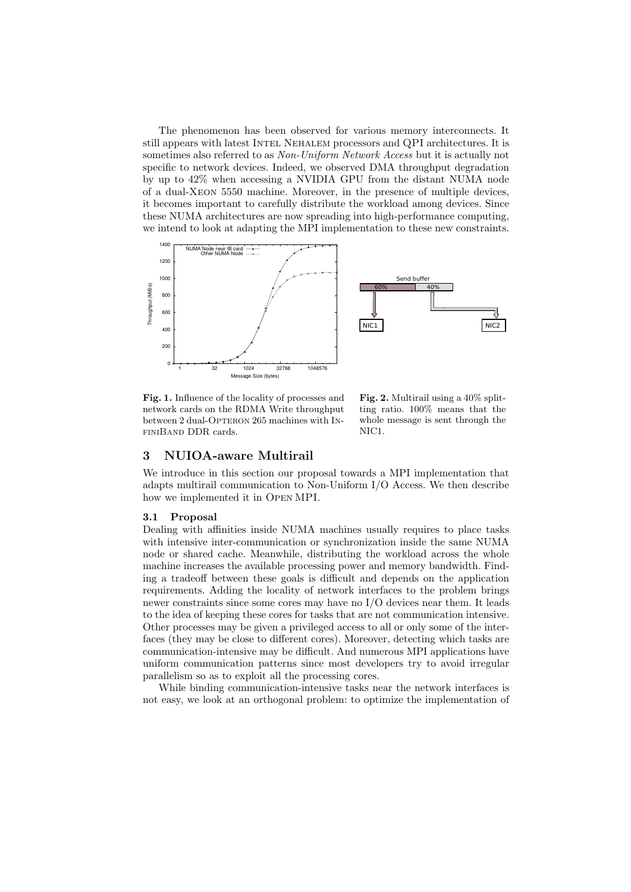The phenomenon has been observed for various memory interconnects. It still appears with latest Intel Nehalem processors and QPI architectures. It is sometimes also referred to as Non-Uniform Network Access but it is actually not specific to network devices. Indeed, we observed DMA throughput degradation by up to 42% when accessing a NVIDIA GPU from the distant NUMA node of a dual-Xeon 5550 machine. Moreover, in the presence of multiple devices, it becomes important to carefully distribute the workload among devices. Since these NUMA architectures are now spreading into high-performance computing, we intend to look at adapting the MPI implementation to these new constraints.



Fig. 1. Influence of the locality of processes and network cards on the RDMA Write throughput between 2 dual-OPTERON 265 machines with INfiniBand DDR cards.

Fig. 2. Multirail using a 40% splitting ratio. 100% means that the whole message is sent through the NIC1.

### 3 NUIOA-aware Multirail

We introduce in this section our proposal towards a MPI implementation that adapts multirail communication to Non-Uniform I/O Access. We then describe how we implemented it in Open MPI.

#### 3.1 Proposal

Dealing with affinities inside NUMA machines usually requires to place tasks with intensive inter-communication or synchronization inside the same NUMA node or shared cache. Meanwhile, distributing the workload across the whole machine increases the available processing power and memory bandwidth. Finding a tradeoff between these goals is difficult and depends on the application requirements. Adding the locality of network interfaces to the problem brings newer constraints since some cores may have no I/O devices near them. It leads to the idea of keeping these cores for tasks that are not communication intensive. Other processes may be given a privileged access to all or only some of the interfaces (they may be close to different cores). Moreover, detecting which tasks are communication-intensive may be difficult. And numerous MPI applications have uniform communication patterns since most developers try to avoid irregular parallelism so as to exploit all the processing cores.

While binding communication-intensive tasks near the network interfaces is not easy, we look at an orthogonal problem: to optimize the implementation of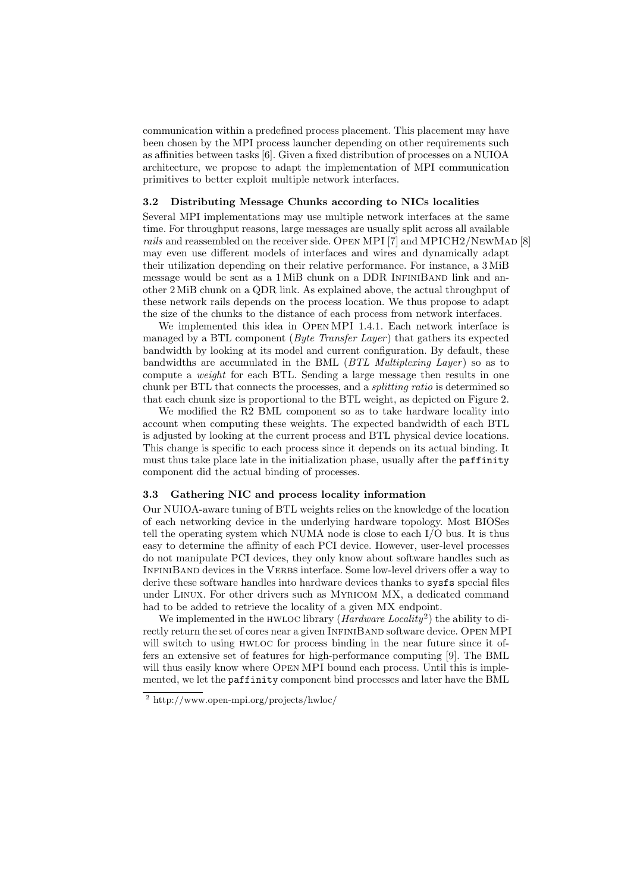communication within a predefined process placement. This placement may have been chosen by the MPI process launcher depending on other requirements such as affinities between tasks [6]. Given a fixed distribution of processes on a NUIOA architecture, we propose to adapt the implementation of MPI communication primitives to better exploit multiple network interfaces.

#### 3.2 Distributing Message Chunks according to NICs localities

Several MPI implementations may use multiple network interfaces at the same time. For throughput reasons, large messages are usually split across all available rails and reassembled on the receiver side. OPEN MPI [7] and MPICH2/NEWMAD [8] may even use different models of interfaces and wires and dynamically adapt their utilization depending on their relative performance. For instance, a 3 MiB message would be sent as a 1 MiB chunk on a DDR INFINIBAND link and another 2 MiB chunk on a QDR link. As explained above, the actual throughput of these network rails depends on the process location. We thus propose to adapt the size of the chunks to the distance of each process from network interfaces.

We implemented this idea in Open MPI 1.4.1. Each network interface is managed by a BTL component (*Byte Transfer Layer*) that gathers its expected bandwidth by looking at its model and current configuration. By default, these bandwidths are accumulated in the BML ( $BTL$  Multiplexing Layer) so as to compute a weight for each BTL. Sending a large message then results in one chunk per BTL that connects the processes, and a splitting ratio is determined so that each chunk size is proportional to the BTL weight, as depicted on Figure 2.

We modified the R2 BML component so as to take hardware locality into account when computing these weights. The expected bandwidth of each BTL is adjusted by looking at the current process and BTL physical device locations. This change is specific to each process since it depends on its actual binding. It must thus take place late in the initialization phase, usually after the paffinity component did the actual binding of processes.

#### 3.3 Gathering NIC and process locality information

Our NUIOA-aware tuning of BTL weights relies on the knowledge of the location of each networking device in the underlying hardware topology. Most BIOSes tell the operating system which NUMA node is close to each I/O bus. It is thus easy to determine the affinity of each PCI device. However, user-level processes do not manipulate PCI devices, they only know about software handles such as INFINIBAND devices in the VERBS interface. Some low-level drivers offer a way to derive these software handles into hardware devices thanks to sysfs special files under Linux. For other drivers such as Myricom MX, a dedicated command had to be added to retrieve the locality of a given MX endpoint.

We implemented in the HWLOC library  $(Hardware \ Locality^2)$  the ability to directly return the set of cores near a given INFINIBAND software device. OPEN MPI will switch to using HWLOC for process binding in the near future since it offers an extensive set of features for high-performance computing [9]. The BML will thus easily know where OPEN MPI bound each process. Until this is implemented, we let the paffinity component bind processes and later have the BML

<sup>2</sup> http://www.open-mpi.org/projects/hwloc/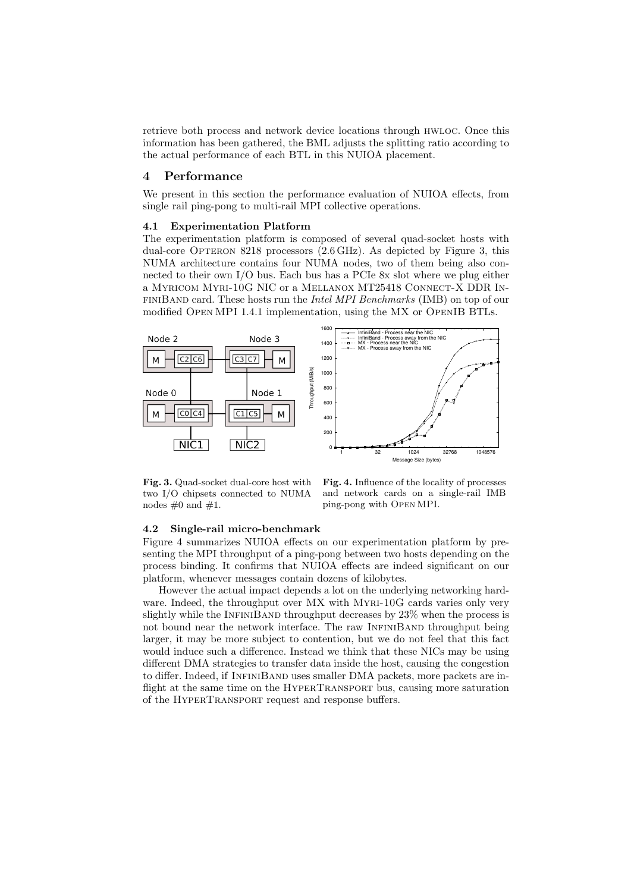retrieve both process and network device locations through hwloc. Once this information has been gathered, the BML adjusts the splitting ratio according to the actual performance of each BTL in this NUIOA placement.

#### 4 Performance

We present in this section the performance evaluation of NUIOA effects, from single rail ping-pong to multi-rail MPI collective operations.

#### 4.1 Experimentation Platform

The experimentation platform is composed of several quad-socket hosts with dual-core Opteron 8218 processors (2.6 GHz). As depicted by Figure 3, this NUMA architecture contains four NUMA nodes, two of them being also connected to their own I/O bus. Each bus has a PCIe 8x slot where we plug either a Myricom Myri-10G NIC or a Mellanox MT25418 Connect-X DDR InfiniBand card. These hosts run the Intel MPI Benchmarks (IMB) on top of our modified Open MPI 1.4.1 implementation, using the MX or OpenIB BTLs.



Fig. 3. Quad-socket dual-core host with two I/O chipsets connected to NUMA nodes  $\#0$  and  $\#1$ .

Fig. 4. Influence of the locality of processes and network cards on a single-rail IMB ping-pong with Open MPI.

#### 4.2 Single-rail micro-benchmark

Figure 4 summarizes NUIOA effects on our experimentation platform by presenting the MPI throughput of a ping-pong between two hosts depending on the process binding. It confirms that NUIOA effects are indeed significant on our platform, whenever messages contain dozens of kilobytes.

However the actual impact depends a lot on the underlying networking hardware. Indeed, the throughput over MX with MYRI-10G cards varies only very slightly while the INFINIBAND throughput decreases by 23% when the process is not bound near the network interface. The raw INFINIBAND throughput being larger, it may be more subject to contention, but we do not feel that this fact would induce such a difference. Instead we think that these NICs may be using different DMA strategies to transfer data inside the host, causing the congestion to differ. Indeed, if INFINIBAND uses smaller DMA packets, more packets are inflight at the same time on the HYPERTRANSPORT bus, causing more saturation of the HyperTransport request and response buffers.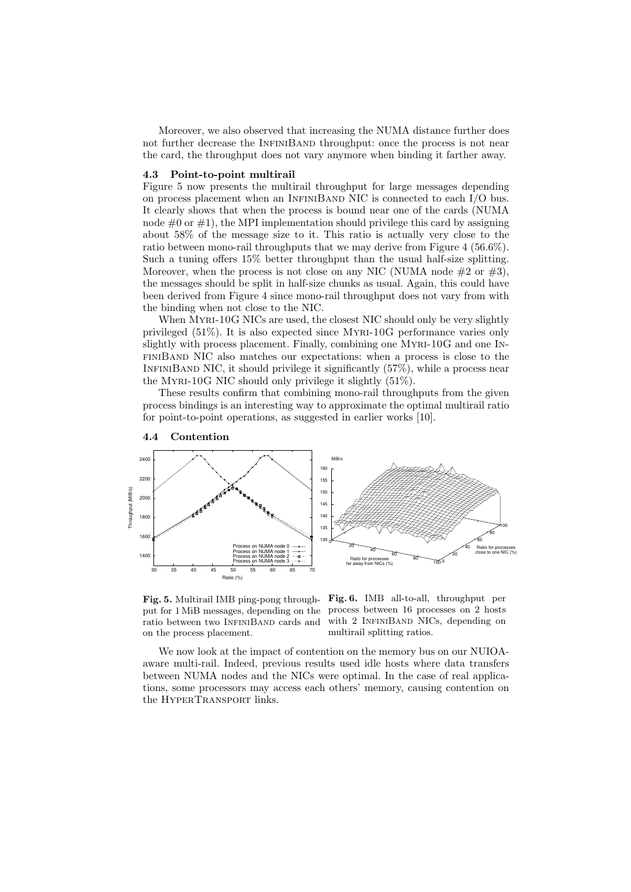Moreover, we also observed that increasing the NUMA distance further does not further decrease the INFINIBAND throughput: once the process is not near the card, the throughput does not vary anymore when binding it farther away.

#### 4.3 Point-to-point multirail

Figure 5 now presents the multirail throughput for large messages depending on process placement when an INFINIBAND NIC is connected to each  $I/O$  bus. It clearly shows that when the process is bound near one of the cards (NUMA node  $\#0$  or  $\#1$ ), the MPI implementation should privilege this card by assigning about 58% of the message size to it. This ratio is actually very close to the ratio between mono-rail throughputs that we may derive from Figure 4 (56.6%). Such a tuning offers 15% better throughput than the usual half-size splitting. Moreover, when the process is not close on any NIC (NUMA node  $#2$  or  $#3$ ), the messages should be split in half-size chunks as usual. Again, this could have been derived from Figure 4 since mono-rail throughput does not vary from with the binding when not close to the NIC.

When MYRI-10G NICs are used, the closest NIC should only be very slightly privileged (51%). It is also expected since Myri-10G performance varies only slightly with process placement. Finally, combining one Myri-10G and one InfiniBand NIC also matches our expectations: when a process is close to the INFINIBAND NIC, it should privilege it significantly  $(57\%)$ , while a process near the MYRI-10G NIC should only privilege it slightly  $(51\%)$ .

These results confirm that combining mono-rail throughputs from the given process bindings is an interesting way to approximate the optimal multirail ratio for point-to-point operations, as suggested in earlier works [10].



#### 4.4 Contention

put for 1 MiB messages, depending on the process between 16 processes on 2 hosts ratio between two InfiniBand cards and on the process placement.

Fig. 5. Multirail IMB ping-pong through- Fig. 6. IMB all-to-all, throughput per with 2 INFINIBAND NICs, depending on multirail splitting ratios.

We now look at the impact of contention on the memory bus on our NUIOAaware multi-rail. Indeed, previous results used idle hosts where data transfers between NUMA nodes and the NICs were optimal. In the case of real applications, some processors may access each others' memory, causing contention on the HYPERTRANSPORT links.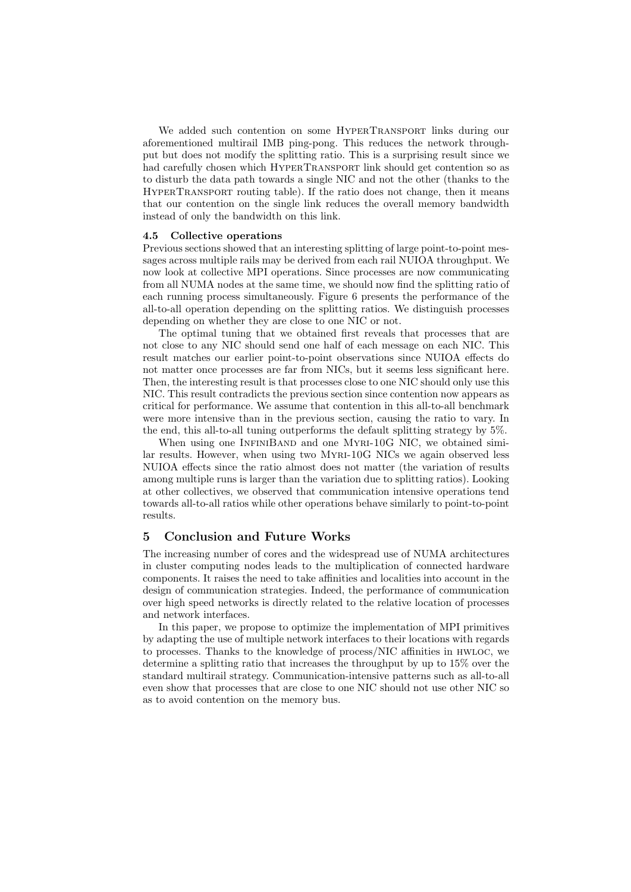We added such contention on some HYPERTRANSPORT links during our aforementioned multirail IMB ping-pong. This reduces the network throughput but does not modify the splitting ratio. This is a surprising result since we had carefully chosen which HYPERTRANSPORT link should get contention so as to disturb the data path towards a single NIC and not the other (thanks to the HyperTransport routing table). If the ratio does not change, then it means that our contention on the single link reduces the overall memory bandwidth instead of only the bandwidth on this link.

#### 4.5 Collective operations

Previous sections showed that an interesting splitting of large point-to-point messages across multiple rails may be derived from each rail NUIOA throughput. We now look at collective MPI operations. Since processes are now communicating from all NUMA nodes at the same time, we should now find the splitting ratio of each running process simultaneously. Figure 6 presents the performance of the all-to-all operation depending on the splitting ratios. We distinguish processes depending on whether they are close to one NIC or not.

The optimal tuning that we obtained first reveals that processes that are not close to any NIC should send one half of each message on each NIC. This result matches our earlier point-to-point observations since NUIOA effects do not matter once processes are far from NICs, but it seems less significant here. Then, the interesting result is that processes close to one NIC should only use this NIC. This result contradicts the previous section since contention now appears as critical for performance. We assume that contention in this all-to-all benchmark were more intensive than in the previous section, causing the ratio to vary. In the end, this all-to-all tuning outperforms the default splitting strategy by 5%.

When using one INFINIBAND and one MYRI-10G NIC, we obtained similar results. However, when using two Myri-10G NICs we again observed less NUIOA effects since the ratio almost does not matter (the variation of results among multiple runs is larger than the variation due to splitting ratios). Looking at other collectives, we observed that communication intensive operations tend towards all-to-all ratios while other operations behave similarly to point-to-point results.

## 5 Conclusion and Future Works

The increasing number of cores and the widespread use of NUMA architectures in cluster computing nodes leads to the multiplication of connected hardware components. It raises the need to take affinities and localities into account in the design of communication strategies. Indeed, the performance of communication over high speed networks is directly related to the relative location of processes and network interfaces.

In this paper, we propose to optimize the implementation of MPI primitives by adapting the use of multiple network interfaces to their locations with regards to processes. Thanks to the knowledge of process/NIC affinities in hwloc, we determine a splitting ratio that increases the throughput by up to 15% over the standard multirail strategy. Communication-intensive patterns such as all-to-all even show that processes that are close to one NIC should not use other NIC so as to avoid contention on the memory bus.